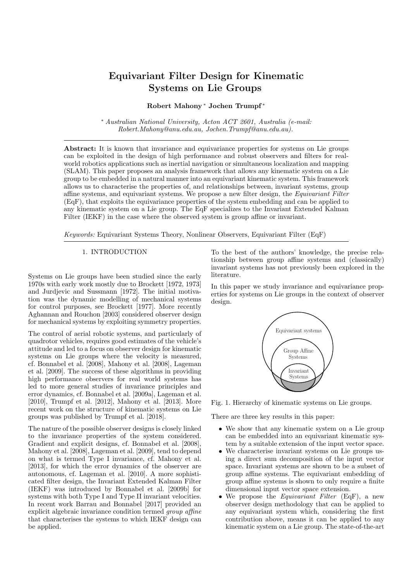# Equivariant Filter Design for Kinematic Systems on Lie Groups

## Robert Mahony <sup>∗</sup> Jochen Trumpf <sup>∗</sup>

<sup>∗</sup> Australian National University, Acton ACT 2601, Australia (e-mail: Robert.Mahony@anu.edu.au, Jochen.Trumpf@anu.edu.au).

Abstract: It is known that invariance and equivariance properties for systems on Lie groups can be exploited in the design of high performance and robust observers and filters for realworld robotics applications such as inertial navigation or simultaneous localization and mapping (SLAM). This paper proposes an analysis framework that allows any kinematic system on a Lie group to be embedded in a natural manner into an equivariant kinematic system. This framework allows us to characterise the properties of, and relationships between, invariant systems, group affine systems, and equivariant systems. We propose a new filter design, the Equivariant Filter (EqF), that exploits the equivariance properties of the system embedding and can be applied to any kinematic system on a Lie group. The EqF specializes to the Invariant Extended Kalman Filter (IEKF) in the case where the observed system is group affine or invariant.

Keywords: Equivariant Systems Theory, Nonlinear Observers, Equivariant Filter (EqF)

# 1. INTRODUCTION

Systems on Lie groups have been studied since the early 1970s with early work mostly due to Brockett [1972, 1973] and Jurdjevic and Sussmann [1972]. The initial motivation was the dynamic modelling of mechanical systems for control purposes, see Brockett [1977]. More recently Aghannan and Rouchon [2003] considered observer design for mechanical systems by exploiting symmetry properties.

The control of aerial robotic systems, and particularly of quadrotor vehicles, requires good estimates of the vehicle's attitude and led to a focus on observer design for kinematic systems on Lie groups where the velocity is measured, cf. Bonnabel et al. [2008], Mahony et al. [2008], Lageman et al. [2009]. The success of these algorithms in providing high performance observers for real world systems has led to more general studies of invariance principles and error dynamics, cf. Bonnabel et al. [2009a], Lageman et al. [2010], Trumpf et al. [2012], Mahony et al. [2013]. More recent work on the structure of kinematic systems on Lie groups was published by Trumpf et al. [2018].

The nature of the possible observer designs is closely linked to the invariance properties of the system considered. Gradient and explicit designs, cf. Bonnabel et al. [2008], Mahony et al. [2008], Lageman et al. [2009], tend to depend on what is termed Type I invariance, cf. Mahony et al. [2013], for which the error dynamics of the observer are autonomous, cf. Lageman et al. [2010]. A more sophisticated filter design, the Invariant Extended Kalman Filter (IEKF) was introduced by Bonnabel et al. [2009b] for systems with both Type I and Type II invariant velocities. In recent work Barrau and Bonnabel [2017] provided an explicit algebraic invariance condition termed group affine that characterises the systems to which IEKF design can be applied.

To the best of the authors' knowledge, the precise relationship between group affine systems and (classically) invariant systems has not previously been explored in the literature.

In this paper we study invariance and equivariance properties for systems on Lie groups in the context of observer design.



Fig. 1. Hierarchy of kinematic systems on Lie groups.

There are three key results in this paper:

- We show that any kinematic system on a Lie group can be embedded into an equivariant kinematic system by a suitable extension of the input vector space.
- We characterise invariant systems on Lie groups using a direct sum decomposition of the input vector space. Invariant systems are shown to be a subset of group affine systems. The equivariant embedding of group affine systems is shown to only require a finite dimensional input vector space extension.
- We propose the *Equivariant Filter* (EqF), a new observer design methodology that can be applied to any equivariant system which, considering the first contribution above, means it can be applied to any kinematic system on a Lie group. The state-of-the-art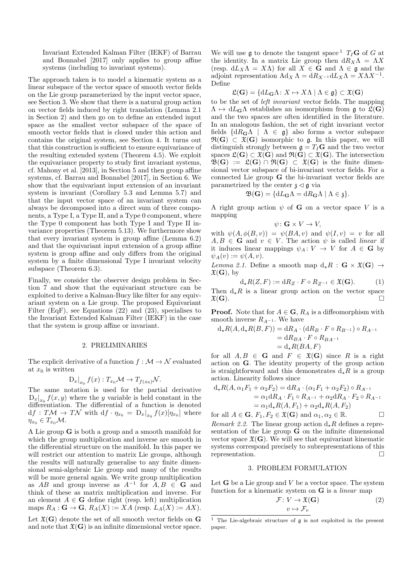Invariant Extended Kalman Filter (IEKF) of Barrau and Bonnabel [2017] only applies to group affine systems (including to invariant systems).

The approach taken is to model a kinematic system as a linear subspace of the vector space of smooth vector fields on the Lie group parameterized by the input vector space, see Section 3. We show that there is a natural group action on vector fields induced by right translation (Lemma 2.1 in Section 2) and then go on to define an extended input space as the smallest vector subspace of the space of smooth vector fields that is closed under this action and contains the original system, see Section 4. It turns out that this construction is sufficient to ensure equivariance of the resulting extended system (Theorem 4.5). We exploit the equivariance property to study first invariant systems, cf. Mahony et al. [2013], in Section 5 and then group affine systems, cf. Barrau and Bonnabel [2017], in Section 6. We show that the equivariant input extension of an invariant system is invariant (Corollary 5.3 and Lemma 5.7) and that the input vector space of an invariant system can always be decomposed into a direct sum of three components, a Type I, a Type II, and a Type 0 component, where the Type 0 component has both Type I and Type II invariance properties (Theorem 5.13). We furthermore show that every invariant system is group affine (Lemma 6.2) and that the equivariant input extension of a group affine system is group affine and only differs from the original system by a finite dimensional Type I invariant velocity subspace (Theorem 6.3).

Finally, we consider the observer design problem in Section 7 and show that the equivariant structure can be exploited to derive a Kalman-Bucy like filter for any equivariant system on a Lie group. The proposed Equivariant Filter (EqF), see Equations (22) and (23), specialises to the Invariant Extended Kalman Filter (IEKF) in the case that the system is group affine or invariant.

#### 2. PRELIMINARIES

The explicit derivative of a function  $f : \mathcal{M} \to \mathcal{N}$  evaluated at  $x_0$  is written

$$
D_x|_{x_0} f(x) : T_{x_0} \mathcal{M} \to T_{f(x_0)} \mathcal{N}.
$$

The same notation is used for the partial derivative  $D_x|_{x_0} f(x, y)$  where the y variable is held constant in the differentiation. The differential of a function is denoted  $df : T\mathcal{M} \to T\mathcal{N}$  with  $df \cdot \eta_{x_0} = D_x|_{x_0} f(x)[\eta_{x_0}]$  where  $\eta_{x_0} \in T_{x_0} \mathcal{M}.$ 

A Lie group G is both a group and a smooth manifold for which the group multiplication and inverse are smooth in the differential structure on the manifold. In this paper we will restrict our attention to matrix Lie groups, although the results will naturally generalise to any finite dimensional semi-algebraic Lie group and many of the results will be more general again. We write group multiplication as AB and group inverse as  $A^{-1}$  for  $A, B \in \mathbf{G}$  and think of these as matrix multiplication and inverse. For an element  $A \in \mathbf{G}$  define right (resp. left) multiplication maps  $R_A: \mathbf{G} \to \mathbf{G}, R_A(X) := XA$  (resp.  $L_A(X) := AX$ ).

Let  $\mathfrak{X}(\mathbf{G})$  denote the set of all smooth vector fields on  $\mathbf{G}$ and note that  $\mathfrak{X}(\mathbf{G})$  is an infinite dimensional vector space.

We will use g to denote the tangent space  ${}^{1}$  T<sub>I</sub>G of G at the identity. In a matrix Lie group then  $dR_X\Lambda = \Lambda X$ (resp.  $dL_X\Lambda = X\Lambda$ ) for all  $X \in \mathbf{G}$  and  $\Lambda \in \mathfrak{g}$  and the adjoint representation  $\text{Ad}_X \Lambda = \text{d} R_{X^{-1}} \text{d} L_X \Lambda = X \Lambda X^{-1}$ . Define

$$
\mathfrak{L}(\mathbf{G}) = \{ \mathrm{d}L_{\mathbf{G}}\Lambda \colon X \mapsto X\Lambda \mid \Lambda \in \mathfrak{g} \} \subset \mathfrak{X}(\mathbf{G})
$$

to be the set of left invariant vector fields. The mapping  $\Lambda \mapsto dL_{\mathbf{G}}\Lambda$  establishes an isomorphism from g to  $\mathfrak{L}(\mathbf{G})$ and the two spaces are often identified in the literature. In an analogous fashion, the set of right invariant vector fields  $\{dR_{\mathbf{G}}\Lambda \mid \Lambda \in \mathfrak{g}\}\$ also forms a vector subspace  $\mathfrak{R}(G) \subset \mathfrak{X}(G)$  isomorphic to g. In this paper, we will distinguish strongly between  $g = T_I$ **G** and the two vector spaces  $\mathfrak{L}(\mathbf{G}) \subset \mathfrak{X}(\mathbf{G})$  and  $\mathfrak{R}(\mathbf{G}) \subset \mathfrak{X}(\mathbf{G})$ . The intersection  $\mathfrak{B}(\mathbf{G}) := \mathfrak{L}(\mathbf{G}) \cap \mathfrak{R}(\mathbf{G}) \subset \mathfrak{X}(\mathbf{G})$  is the finite dimensional vector subspace of bi-invariant vector fields. For a connected Lie group G the bi-invariant vector fields are parametrized by the center  $\lambda \leq \mathfrak{g}$  via

$$
\mathfrak{B}(\mathbf{G}) = \{ \mathrm{d}L_{\mathbf{G}}\Lambda = \mathrm{d}R_{\mathbf{G}}\Lambda \mid \Lambda \in \mathfrak{z} \}.
$$

A right group action  $\psi$  of **G** on a vector space V is a mapping

$$
\psi \colon \mathbf{G} \times V \to V,
$$

with  $\psi(A, \phi(B, v)) = \psi(BA, v)$  and  $\psi(I, v) = v$  for all  $A, B \in \mathbf{G}$  and  $v \in V$ . The action  $\psi$  is called *linear* if it induces linear mappings  $\psi_A \colon V \to V$  for  $A \in \mathbf{G}$  by  $\psi_A(v) := \psi(A, v).$ 

Lemma 2.1. Define a smooth map  $d_{\star}R$ :  $\mathbf{G} \times \mathfrak{X}(\mathbf{G}) \rightarrow$  $\mathfrak{X}(\mathbf{G}), \text{ by}$ 

$$
d_{\star}R(Z,F) := dR_Z \cdot F \circ R_{Z^{-1}} \in \mathfrak{X}(\mathbf{G}).\tag{1}
$$

Then  $d_{\star}R$  is a linear group action on the vector space  $\mathfrak{X}(\mathbf{G})$ .  $\mathfrak{X}(\mathbf{G})$ .

**Proof.** Note that for  $A \in \mathbf{G}$ ,  $R_A$  is a diffeomorphism with smooth inverse  $R_{A^{-1}}$ . We have

$$
d_{\star}R(A, d_{\star}R(B, F)) = dR_A \cdot (dR_B \cdot F \circ R_{B^{-1}}) \circ R_{A^{-1}}
$$
  
= 
$$
dR_{BA} \cdot F \circ R_{BA^{-1}}
$$
  
= 
$$
d_{\star}R(BA, F)
$$

for all  $A, B \in \mathbf{G}$  and  $F \in \mathfrak{X}(\mathbf{G})$  since R is a right action on G. The identity property of the group action is straightforward and this demonstrates  $d_{\star}R$  is a group action. Linearity follows since

$$
d_{\star}R(A, \alpha_1 F_1 + \alpha_2 F_2) = dR_A \cdot (\alpha_1 F_1 + \alpha_2 F_2) \circ R_{A^{-1}}
$$
  
=  $\alpha_1 dR_A \cdot F_1 \circ R_{A^{-1}} + \alpha_2 dR_A \cdot F_2 \circ R_{A^{-1}}$   
=  $\alpha_1 d_{\star} R(A, F_1) + \alpha_2 d_{\star} R(A, F_2)$ 

for all  $A \in \mathbf{G}$ ,  $F_1, F_2 \in \mathfrak{X}(\mathbf{G})$  and  $\alpha_1, \alpha_2 \in \mathbb{R}$ . Remark 2.2. The linear group action  $d_{\star}R$  defines a representation of the Lie group G on the infinite dimensional vector space  $\mathfrak{X}(\mathbf{G})$ . We will see that equivariant kinematic systems correspond precisely to subrepresentations of this representation.

#### 3. PROBLEM FORMULATION

Let  $G$  be a Lie group and  $V$  be a vector space. The system function for a kinematic system on  $G$  is a *linear* map

$$
\mathcal{F}: V \to \mathfrak{X}(\mathbf{G})
$$

$$
v \mapsto \mathcal{F}_v
$$
 (2)

<sup>&</sup>lt;sup>1</sup> The Lie-algebraic structure of  $\mathfrak g$  is not exploited in the present paper.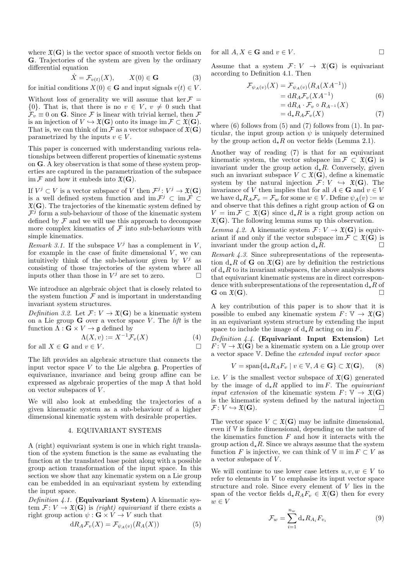where  $\mathfrak{X}(\mathbf{G})$  is the vector space of smooth vector fields on G. Trajectories of the system are given by the ordinary differential equation

$$
\dot{X} = \mathcal{F}_{v(t)}(X), \qquad X(0) \in \mathbf{G} \tag{3}
$$

for initial conditions  $X(0) \in \mathbf{G}$  and input signals  $v(t) \in V$ .

Without loss of generality we will assume that ker  $\mathcal{F} =$  $\{0\}$ . That is, that there is no  $v \in V$ ,  $v \neq 0$  such that  $\mathcal{F}_v \equiv 0$  on **G**. Since F is linear with trivial kernel, then F is an injection of  $V \hookrightarrow \mathfrak{X}(\mathbf{G})$  onto its image im  $\mathcal{F} \subset \mathfrak{X}(\mathbf{G})$ . That is, we can think of im  $\mathcal F$  as a vector subspace of  $\mathfrak X(G)$ parametrized by the inputs  $v \in V$ .

This paper is concerned with understanding various relationships between different properties of kinematic systems on G. A key observation is that some of these system properties are captured in the parametrization of the subspace im  $\mathcal F$  and how it embeds into  $\mathfrak X({\bf G})$ .

If  $V^j \subset V$  is a vector subspace of V then  $\mathcal{F}^j \colon V^j \to \mathfrak{X}(\mathbf{G})$ is a well defined system function and  $\mathrm{im}\,\mathcal{F}^j\subset \mathrm{im}\,\mathcal{F}\subset$  $\mathfrak{X}(\mathbf{G})$ . The trajectories of the kinematic system defined by  $\mathcal{F}^{\hat{\jmath}}$  form a sub-behaviour of those of the kinematic system defined by  $\mathcal F$  and we will use this approach to decompose more complex kinematics of  $\mathcal F$  into sub-behaviours with simple kinematics.

Remark 3.1. If the subspace  $V^j$  has a complement in V, for example in the case of finite dimensional  $V$ , we can intuitively think of the sub-behaviour given by  $V^j$  as consisting of those trajectories of the system where all inputs other than those in  $V^j$  are set to zero.  $\Box$ 

We introduce an algebraic object that is closely related to the system function  $\mathcal F$  and is important in understanding invariant system structures.

Definition 3.2. Let  $\mathcal{F} : V \to \mathfrak{X}(\mathbf{G})$  be a kinematic system on a Lie group  $G$  over a vector space V. The *lift* is the function  $\Lambda : \mathbf{G} \times V \to \mathfrak{g}$  defined by

$$
\Lambda(X, v) := X^{-1} \mathcal{F}_v(X) \tag{4}
$$
for all  $Y \in \mathbf{C}$  and  $v \in V$ 

for all  $X \in \mathbf{G}$  and  $v \in V$ .

The lift provides an algebraic structure that connects the input vector space  $V$  to the Lie algebra  $\mathfrak{g}$ . Properties of equivariance, invariance and being group affine can be expressed as algebraic properties of the map  $\Lambda$  that hold on vector subspaces of  $V$ .

We will also look at embedding the trajectories of a given kinematic system as a sub-behaviour of a higher dimensional kinematic system with desirable properties.

#### 4. EQUIVARIANT SYSTEMS

A (right) equivariant system is one in which right translation of the system function is the same as evaluating the function at the translated base point along with a possible group action transformation of the input space. In this section we show that any kinematic system on a Lie group can be embedded in an equivariant system by extending the input space.

Definition  $4.1$ . (Equivariant System) A kinematic system  $\mathcal{F} : V \to \mathfrak{X}(\mathbf{G})$  is *(right) equivariant* if there exists a right group action  $\psi : \mathbf{G} \times V \to V$  such that

$$
dR_A \mathcal{F}_v(X) = \mathcal{F}_{\psi_A(v)}(R_A(X))
$$
\n(5)

for all  $A, X \in \mathbf{G}$  and  $v \in V$ .

Assume that a system  $\mathcal{F}: V \to \mathfrak{X}(\mathbf{G})$  is equivariant according to Definition 4.1. Then

$$
\mathcal{F}_{\psi_A(v)}(X) = \mathcal{F}_{\psi_A(v)}(R_A(XA^{-1}))
$$
  
=  $dR_A \mathcal{F}_v(XA^{-1})$  (6)  
=  $dR_A \cdot \mathcal{F}_v \circ R_{A^{-1}}(X)$   
=  $d_* R_A \mathcal{F}_v(X)$  (7)

where  $(6)$  follows from  $(5)$  and  $(7)$  follows from  $(1)$ . In particular, the input group action  $\psi$  is uniquely determined by the group action  $d_{\star}R$  on vector fields (Lemma 2.1).

Another way of reading (7) is that for an equivariant kinematic system, the vector subspace im  $\mathcal{F} \subset \mathfrak{X}(\mathbf{G})$  is invariant under the group action  $d_{\star}R$ . Conversely, given such an invariant subspace  $V \subset \mathfrak{X}(\mathbf{G})$ , define a kinematic system by the natural injection  $\mathcal{F}: V \hookrightarrow \mathfrak{X}(\mathbf{G})$ . The invariance of V then implies that for all  $A \in \mathbf{G}$  and  $v \in V$ we have  $d_{\star}R_A\mathcal{F}_v = \mathcal{F}_w$  for some  $w \in V$ . Define  $\psi_A(v) := w$ and observe that this defines a right group action of G on  $V = \text{im } \mathcal{F} \subset \mathfrak{X}(\mathbf{G})$  since  $d_{\star}R$  is a right group action on  $\mathfrak{X}(\mathbf{G})$ . The following lemma sums up this observation.

Lemma 4.2. A kinematic system  $\mathcal{F}: V \to \mathfrak{X}(\mathbf{G})$  is equivariant if and only if the vector subspace im  $\mathcal{F} \subset \mathfrak{X}(\mathbf{G})$  is invariant under the group action  $d_{\star}R$ .

Remark 4.3. Since subrepresentations of the representation  $d_{\star}R$  of **G** on  $\mathfrak{X}(\mathbf{G})$  are by definition the restrictions of  $d_{\star}R$  to its invariant subspaces, the above analysis shows that equivariant kinematic systems are in direct correspondence with subrepresentations of the representation  $d_{\star}R$  of  $G$  on  $\mathfrak{F}(G)$  $\mathbf{G}$  on  $\mathfrak{X}(\mathbf{G})$ .

A key contribution of this paper is to show that it is possible to embed any kinematic system  $F: V \to \mathfrak{X}(\mathbf{G})$ in an equivariant system structure by extending the input space to include the image of  $d_{\star}R$  acting on im F.

Definition 4.4. (Equivariant Input Extension) Let  $F: \mathbb{V} \to \mathfrak{X}(\mathbf{G})$  be a kinematic system on a Lie group over a vector space V. Define the extended input vector space

$$
V = \text{span}\{d_{\star}R_{A}F_{v} \mid v \in \mathbb{V}, A \in \mathbf{G}\} \subset \mathfrak{X}(\mathbf{G}), \qquad (8)
$$

i.e. V is the smallest vector subspace of  $\mathfrak{X}(\mathbf{G})$  generated by the image of  $d<sub>+</sub>R$  applied to im F. The *equivariant input extension* of the kinematic system  $F: \mathbb{V} \to \mathfrak{X}(\mathbf{G})$ is the kinematic system defined by the natural injection  $\mathcal{F} \colon V \hookrightarrow \mathfrak{X}(\mathbf{G}).$ 

The vector space  $V \subset \mathfrak{X}(\mathbf{G})$  may be infinite dimensional, even if V is finite dimensional, depending on the nature of the kinematics function  $F$  and how it interacts with the group action  $d_{\star}R$ . Since we always assume that the system function F is injective, we can think of  $\mathbb{V} \equiv \text{im } F \subset V$  as a vector subspace of  $V$ .

We will continue to use lower case letters  $u, v, w \in V$  to refer to elements in  $V$  to emphasise its input vector space structure and role. Since every element of V lies in the span of the vector fields  $d_{\star}R_{A}F_{v} \in \mathfrak{X}(\mathbf{G})$  then for every  $w \in V$ 

$$
\mathcal{F}_w = \sum_{i=1}^{n_w} \mathrm{d}_\star R_{A_i} F_{v_i} \tag{9}
$$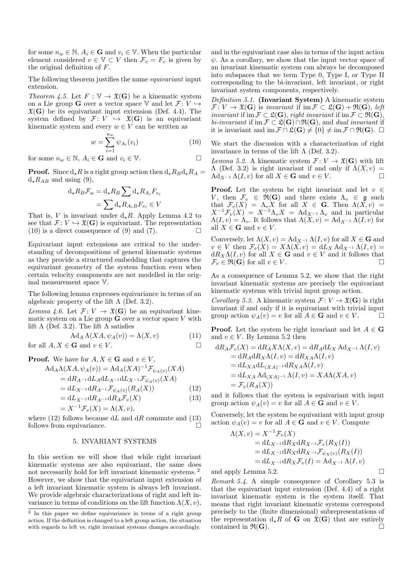for some  $n_w \in \mathbb{N}$ ,  $A_i \in \mathbf{G}$  and  $v_i \in \mathbb{V}$ . When the particular element considered  $v \in V \subset V$  then  $\mathcal{F}_v = F_v$  is given by the original definition of F.

The following theorem justifies the name equivariant input extension.

Theorem 4.5. Let  $F : \mathbb{V} \to \mathfrak{X}(\mathbf{G})$  be a kinematic system on a Lie group **G** over a vector space V and let  $\mathcal{F}: V \hookrightarrow$  $\mathfrak{X}(\mathbf{G})$  be its equivariant input extension (Def. 4.4). The system defined by  $\mathcal{F}: V \hookrightarrow \mathfrak{X}(\mathbf{G})$  is an equivariant kinematic system and every  $w \in V$  can be written as

$$
w = \sum_{i=1}^{n_w} \psi_{A_i}(v_i)
$$
 (10)

for some  $n_w \in \mathbb{N}$ ,  $A_i \in \mathbf{G}$  and  $v_i \in \mathbb{V}$ .

**Proof.** Since  $d_{\star}R$  is a right group action then  $d_{\star}R_Bd_{\star}R_A =$  $d_{\star}R_{AB}$  and using (9),

$$
d_{\star} R_B \mathcal{F}_w = d_{\star} R_B \sum d_{\star} R_{A_i} F_{v_i}
$$

$$
= \sum d_{\star} R_{A_i} B F_{v_i} \in V
$$

That is, V is invariant under  $d_{\star}R$ . Apply Lemma 4.2 to see that  $\mathcal{F} \colon V \hookrightarrow \mathfrak{X}(\mathbf{G})$  is equivariant. The representation  $(10)$  is a direct consequence of  $(9)$  and  $(7)$ .

Equivariant input extensions are critical to the understanding of decompositions of general kinematic systems as they provide a structured embedding that captures the equivariant geometry of the system function even when certain velocity components are not modelled in the original measurement space V.

The following lemma expresses equivariance in terms of an algebraic property of the lift  $\Lambda$  (Def. 3.2).

Lemma 4.6. Let  $\mathcal{F}: V \to \mathfrak{X}(\mathbf{G})$  be an equivariant kinematic system on a Lie group  $\bf{G}$  over a vector space V with lift  $\Lambda$  (Def. 3.2). The lift  $\Lambda$  satisfies

$$
\operatorname{Ad}_A \Lambda(XA, \psi_A(v)) = \Lambda(X, v) \tag{11}
$$
\n
$$
\text{for all } A, X \in \mathbf{G} \text{ and } v \in V. \square
$$

**Proof.** We have for  $A, X \in \mathbf{G}$  and  $v \in V$ ,

$$
\begin{aligned} \text{Ad}_A \Lambda(XA, \psi_A(v)) &= \text{Ad}_A (XA)^{-1} \mathcal{F}_{\psi_A(v)}(XA) \\ &= \text{d}R_{A^{-1}} \text{d}L_A \text{d}L_{A^{-1}} \text{d}L_{X^{-1}} \mathcal{F}_{\psi_A(v)}(XA) \\ &= \text{d}L_{X^{-1}} \text{d}R_{X^{-1}} \mathcal{F}_{\psi_A(v)}(R_A(X)) \end{aligned} \tag{1}
$$

$$
= dL_{X^{-1}} dR_{A^{-1}} \mathcal{F}_{\psi_A(v)}(R_A(X)) \tag{12}
$$

$$
= dL_{X^{-1}} dR_{A^{-1}} dR_A \mathcal{F}(X) \tag{13}
$$

$$
= \mathbf{a} L_{X^{-1}} \mathbf{a} n_{A^{-1}} \mathbf{a} n_A \mathbf{v}_v(\mathbf{A})
$$
  
=  $X^{-1} \mathcal{F}_v(X) = \Lambda(X, v),$  (15)

where (12) follows because  $dL$  and  $dR$  commute and (13) follows from equivariance.

#### 5. INVARIANT SYSTEMS

In this section we will show that while right invariant kinematic systems are also equivariant, the same does not necessarily hold for left invariant kinematic systems. <sup>2</sup> However, we show that the equivariant input extension of a left invariant kinematic system is always left invariant. We provide algebraic characterizations of right and left invariance in terms of conditions on the lift function  $\Lambda(X, v)$ ,

and in the equivariant case also in terms of the input action  $\psi$ . As a corollary, we show that the input vector space of an invariant kinematic system can always be decomposed into subspaces that we term Type 0, Type I, or Type II corresponding to the bi-invariant, left invariant, or right invariant system components, respectively.

Definition 5.1. (Invariant System) A kinematic system  $\mathcal{F}: V \to \mathfrak{X}(\mathbf{G})$  is invariant if im  $\mathcal{F} \subset \mathfrak{L}(\mathbf{G}) + \mathfrak{R}(\mathbf{G})$ , left *invariant* if im  $\mathcal{F} \subset \mathfrak{L}(\mathbf{G})$ , *right invariant* if im  $\mathcal{F} \subset \mathfrak{R}(\mathbf{G})$ , bi-invariant if im  $\mathcal{F} \subset \mathfrak{L}(\mathbf{G}) \cap \mathfrak{R}(\mathbf{G})$ , and dual invariant if it is invariant and  $\operatorname{im} \mathcal{F} \cap \mathfrak{L}(\mathbf{G}) \neq \{0\} \neq \operatorname{im} \mathcal{F} \cap \mathfrak{R}(\mathbf{G})$ .  $\Box$ 

We start the discussion with a characterization of right invariance in terms of the lift  $\Lambda$  (Def. 3.2).

Lemma 5.2. A kinematic system  $\mathcal{F}: V \to \mathfrak{X}(\mathbf{G})$  with lift  $\Lambda$  (Def. 3.2) is right invariant if and only if  $\Lambda(X, v)$  =  $\operatorname{Ad}_{X^{-1}} \Lambda(I, v)$  for all  $X \in \mathbf{G}$  and  $v \in V$ .  $\Box$ 

**Proof.** Let the system be right invariant and let  $v \in$ V, then  $\mathcal{F}_v \in \mathfrak{R}(\mathbf{G})$  and there exists  $\Lambda_v \in \mathfrak{g}$  such that  $\mathcal{F}_v(X) = \Lambda_v X$  for all  $X \in \mathbf{G}$ . Then  $\Lambda(X, v) =$  $X^{-1}\mathcal{F}_{v}(X) = X^{-1}\Lambda_{v}X = \text{Ad}_{X^{-1}}\Lambda_{v}$  and in particular  $\Lambda(I, v) = \Lambda_{v}$ . It follows that  $\Lambda(X, v) = \text{Ad}_{X^{-1}} \Lambda(I, v)$  for all  $X \in \mathbf{G}$  and  $v \in V$ .

Conversely, let  $\Lambda(X, v) = \text{Ad}_{X^{-1}} \Lambda(I, v)$  for all  $X \in \mathbf{G}$  and  $v \in V$  then  $\mathcal{F}_v(X) = X\Lambda(X,v) = dL_X \operatorname{Ad}_{X^{-1}} \Lambda(I,v) =$  $dR_X\Lambda(I, v)$  for all  $X \in G$  and  $v \in V$  and it follows that  $\mathcal{F}_v \in \mathfrak{R}(\mathbf{G})$  for all  $v \in V$ .

As a consequence of Lemma 5.2, we show that the right invariant kinematic systems are precisely the equivariant kinematic systems with trivial input group action.

*Corollary 5.3.* A kinematic system  $\mathcal{F}: V \to \mathfrak{X}(\mathbf{G})$  is right invariant if and only if it is equivariant with trivial input group action  $\psi_A(v) = v$  for all  $A \in \mathbf{G}$  and  $v \in V$ .

**Proof.** Let the system be right invariant and let  $A \in \mathbf{G}$ and  $v \in V$ . By Lemma 5.2 then

$$
dR_A \mathcal{F}_v(X) = dR_A X \Lambda(X, v) = dR_A dL_X A d_{X^{-1}} \Lambda(I, v)
$$
  
= dR\_A dR\_X \Lambda(I, v) = dR\_X A \Lambda(I, v)  
= dL\_X dL\_{(XA)^{-1}} dR\_X A \Lambda(I, v)  
= dL\_X A d\_{(XA)^{-1}} \Lambda(I, v) = X A \Lambda(X A, v)  
=  $\mathcal{F}_v(R_A(X))$ 

and it follows that the system is equivariant with input group action  $\psi_A(v) = v$  for all  $A \in \mathbf{G}$  and  $v \in V$ .

Conversely, let the system be equivariant with input group action  $\psi_A(v) = v$  for all  $A \in \mathbf{G}$  and  $v \in V$ . Compute

$$
\Lambda(X, v) = X^{-1} \mathcal{F}_v(X)
$$
  
= d<sub>X</sub>-i d<sub>RX</sub>d<sub>X</sub>-i<sub>x</sub>  $\mathcal{F}_v(R_X(I))$   
= d<sub>X</sub>-i d<sub>RX</sub>d<sub>X</sub>-i<sub>x</sub>  $\mathcal{F}_{v(x)}(R_X(I))$   
= d<sub>LX</sub>-i d<sub>RX</sub>  $\mathcal{F}_v(I)$  = Ad<sub>X</sub>-i<sub>x</sub>  $\Lambda(I, v)$ 

and apply Lemma 5.2.  $\Box$ 

Remark 5.4. A simple consequence of Corollary 5.3 is that the equivariant input extension (Def. 4.4) of a right invariant kinematic system is the system itself. That means that right invariant kinematic systems correspond precisely to the (finite dimensional) subrepresentations of the representation  $d_{\star}R$  of **G** on  $\mathfrak{X}(\mathbf{G})$  that are entirely contained in  $\mathfrak{R}(\mathbf{G})$ .

<sup>2</sup> In this paper we define equivariance in terms of a right group action. If the definition is changed to a left group action, the situation with regards to left vs. right invariant systems changes accordingly.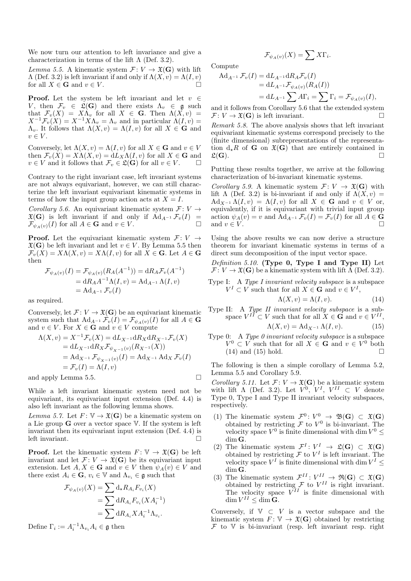We now turn our attention to left invariance and give a characterization in terms of the lift  $\Lambda$  (Def. 3.2).

Lemma 5.5. A kinematic system  $\mathcal{F}: V \to \mathfrak{X}(\mathbf{G})$  with lift  $\Lambda$  (Def. 3.2) is left invariant if and only if  $\Lambda(X, v) = \Lambda(I, v)$ for all  $X \in \mathbf{G}$  and  $v \in V$ .

**Proof.** Let the system be left invariant and let  $v \in$ V, then  $\mathcal{F}_v \in \mathfrak{L}(\mathbf{G})$  and there exists  $\Lambda_v \in \mathfrak{g}$  such that  $\mathcal{F}_v(X) = X\Lambda_v$  for all  $X \in \mathbf{G}$ . Then  $\Lambda(X,v) =$  $X^{-1}\mathcal{F}_v(X) = X^{-1}X\Lambda_v = \Lambda_v$  and in particular  $\Lambda(I, v) =$  $\Lambda_v$ . It follows that  $\Lambda(X, v) = \Lambda(I, v)$  for all  $X \in \mathbf{G}$  and  $v \in V$ .

Conversely, let  $\Lambda(X, v) = \Lambda(I, v)$  for all  $X \in \mathbf{G}$  and  $v \in V$ then  $\mathcal{F}_v(X) = X\Lambda(X,v) = dL_X\Lambda(I,v)$  for all  $X \in \mathbf{G}$  and  $v \in V$  and it follows that  $\mathcal{F}_v \in \mathfrak{L}(\mathbf{G})$  for all  $v \in V$ .

Contrary to the right invariant case, left invariant systems are not always equivariant, however, we can still characterize the left invariant equivariant kinematic systems in terms of how the input group action acts at  $X = I$ .

Corollary 5.6. An equivariant kinematic system  $\mathcal{F}: V \to$  $\mathfrak{X}(\mathbf{G})$  is left invariant if and only if  $\text{Ad}_{A^{-1}}\mathcal{F}_v(I) = \mathcal{F}_v(\mathcal{L})$  for all  $A \in \mathbf{G}$  and  $v \in V$ .  $\mathcal{F}_{\psi_A(y)}(I)$  for all  $A \in \mathbf{G}$  and  $v \in V$ .

**Proof.** Let the equivariant kinematic system  $\mathcal{F}: V \rightarrow$  $\mathfrak{X}(\mathbf{G})$  be left invariant and let  $v \in V$ . By Lemma 5.5 then  $\mathcal{F}_v(X) = X\Lambda(X, v) = X\Lambda(I, v)$  for all  $X \in \mathbf{G}$ . Let  $A \in \mathbf{G}$ then

$$
\mathcal{F}_{\psi_A(v)}(I) = \mathcal{F}_{\psi_A(v)}(R_A(A^{-1})) = dR_A \mathcal{F}_v(A^{-1})
$$
  
=  $dR_A A^{-1} \Lambda(I, v) = Ad_{A^{-1}} \Lambda(I, v)$   
=  $Ad_{A^{-1}} \mathcal{F}_v(I)$ 

as required.

Conversely, let  $\mathcal{F} : V \to \mathfrak{X}(\mathbf{G})$  be an equivariant kinematic system such that  $\operatorname{Ad}_{A^{-1}} \mathcal{F}_v(I) = \mathcal{F}_{\psi_A(v)}(I)$  for all  $A \in \mathbf{G}$ and  $v \in V$ . For  $X \in \mathbf{G}$  and  $v \in V$  compute

$$
\Lambda(X, v) = X^{-1} \mathcal{F}_v(X) = dL_{X^{-1}} dR_X dR_{X^{-1}} \mathcal{F}_v(X)
$$
  
= dL\_{X^{-1}} dR\_X \mathcal{F}\_{\psi\_{X^{-1}}(v)} (R\_{X^{-1}}(X))  
= Ad\_{X^{-1}} \mathcal{F}\_{\psi\_{X^{-1}}(v)}(I) = Ad\_{X^{-1}} Ad\_X \mathcal{F}\_v(I)  
= \mathcal{F}\_v(I) = \Lambda(I, v)

and apply Lemma 5.5.

While a left invariant kinematic system need not be equivariant, its equivariant input extension (Def. 4.4) is also left invariant as the following lemma shows.

Lemma 5.7. Let  $F: V \to \mathfrak{X}(\mathbf{G})$  be a kinematic system on a Lie group G over a vector space V. If the system is left invariant then its equivariant input extension (Def. 4.4) is left invariant.

**Proof.** Let the kinematic system  $F: \mathbb{V} \to \mathfrak{X}(\mathbf{G})$  be left invariant and let  $\mathcal{F} : V \to \mathfrak{X}(\mathbf{G})$  be its equivariant input extension. Let  $A, X \in \mathbf{G}$  and  $v \in V$  then  $\psi_A(v) \in V$  and there exist  $A_i \in \mathbf{G}$ ,  $v_i \in \mathbb{V}$  and  $\Lambda_{v_i} \in \mathfrak{g}$  such that

$$
\mathcal{F}_{\psi_A(v)}(X) = \sum d_{\star} R_{A_i} F_{v_i}(X)
$$
  
= 
$$
\sum d_{A_i} F_{v_i}(XA_i^{-1})
$$
  
= 
$$
\sum d_{A_i} X A_i^{-1} \Lambda_{v_i}.
$$

Define  $\Gamma_i := A_i^{-1} \Lambda_{v_i} A_i \in \mathfrak{g}$  then

$$
\mathcal{F}_{\psi_A(v)}(X) = \sum X \Gamma_i.
$$

Compute

$$
\begin{aligned} \mathrm{Ad}_{A^{-1}}\,\mathcal{F}_v(I) &= \mathrm{d}L_{A^{-1}}\mathrm{d}R_A\mathcal{F}_v(I) \\ &= \mathrm{d}L_{A^{-1}}\mathcal{F}_{\psi_A(v)}(R_A(I)) \\ &= \mathrm{d}L_{A^{-1}}\sum A\Gamma_i = \sum \Gamma_i = \mathcal{F}_{\psi_A(v)}(I), \end{aligned}
$$

and it follows from Corollary 5.6 that the extended system  $\mathcal{F}: V \to \mathfrak{X}(\mathbf{G})$  is left invariant.

Remark 5.8. The above analysis shows that left invariant equivariant kinematic systems correspond precisely to the (finite dimensional) subrepresentations of the representation  $d_{\star}R$  of **G** on  $\mathfrak{X}(\mathbf{G})$  that are entirely contained in  $\mathfrak{L}(\mathbf{G})$ .  $\mathfrak{L}(\mathbf{G})$ .

Putting these results together, we arrive at the following characterization of bi-invariant kinematic systems.

*Corollary 5.9.* A kinematic system  $\mathcal{F}: V \to \mathfrak{X}(\mathbf{G})$  with lift  $\Lambda$  (Def. 3.2) is bi-invariant if and only if  $\Lambda(X, v) =$  $\mathrm{Ad}_{X^{-1}} \Lambda(I, v) = \Lambda(I, v)$  for all  $X \in \mathbf{G}$  and  $v \in V$  or, equivalently, if it is equivariant with trivial input group action  $\psi_A(v) = v$  and  $\text{Ad}_{A^{-1}} \mathcal{F}_v(I) = \mathcal{F}_v(I)$  for all  $A \in \mathbf{G}$ and  $v \in V$ .

Using the above results we can now derive a structure theorem for invariant kinematic systems in terms of a direct sum decomposition of the input vector space.

Definition 5.10. (Type  $0$ , Type I and Type II) Let  $\mathcal{F}: V \to \mathfrak{X}(\mathbf{G})$  be a kinematic system with lift  $\Lambda$  (Def. 3.2).

Type I: A Type I invariant velocity subspace is a subspace  $V^I \subset V$  such that for all  $X \in \mathbf{G}$  and  $v \in V^I$ ,

$$
\Lambda(X, v) = \Lambda(I, v). \tag{14}
$$

Type II: A Type II invariant velocity subspace is a subspace  $V^{II} \subset V$  such that for all  $X \in \mathbf{G}$  and  $v \in V^{II}$ ,

$$
\Lambda(X, v) = \mathrm{Ad}_{X^{-1}} \Lambda(I, v). \tag{15}
$$

Type 0: A Type 0 invariant velocity subspace is a subspace  $V^0 \subset V$  such that for all  $X \in \mathbf{G}$  and  $v \in V^0$  both  $(14)$  and  $(15)$  hold.

The following is then a simple corollary of Lemma 5.2, Lemma 5.5 and Corollary 5.9.

Corollary 5.11. Let  $\mathcal{F} \colon V \to \mathfrak{X}(\mathbf{G})$  be a kinematic system with lift  $\Lambda$  (Def. 3.2). Let  $V^0$ ,  $V^I$ ,  $V^{II} \subset V$  denote Type 0, Type I and Type II invariant velocity subspaces, respectively.

- (1) The kinematic system  $\mathcal{F}^0: V^0 \to \mathfrak{B}(\mathbf{G}) \subset \mathfrak{X}(\mathbf{G})$ obtained by restricting  $\mathcal F$  to  $V^0$  is bi-invariant. The velocity space  $V^0$  is finite dimensional with dim  $V^0 \leq$ dim G.
- (2) The kinematic system  $\mathcal{F}^I: V^I \to \mathfrak{L}(\mathbf{G}) \subset \mathfrak{X}(\mathbf{G})$ obtained by restricting  $\mathcal F$  to  $V^I$  is left invariant. The velocity space  $V^I$  is finite dimensional with dim  $V^I \leq$ dim G.
- (3) The kinematic system  $\mathcal{F}^{II}: V^{II} \to \mathfrak{R}(\mathbf{G}) \subset \mathfrak{X}(\mathbf{G})$ obtained by restricting  $\mathcal F$  to  $V^{II}$  is right invariant. The velocity space  $V^{II}$  is finite dimensional with  $\dim V^{II} \leq \dim G.$

Conversely, if  $V \subset V$  is a vector subspace and the kinematic system  $F: V \to \mathfrak{X}(\mathbf{G})$  obtained by restricting  $\mathcal F$  to  $\mathbb V$  is bi-invariant (resp. left invariant resp. right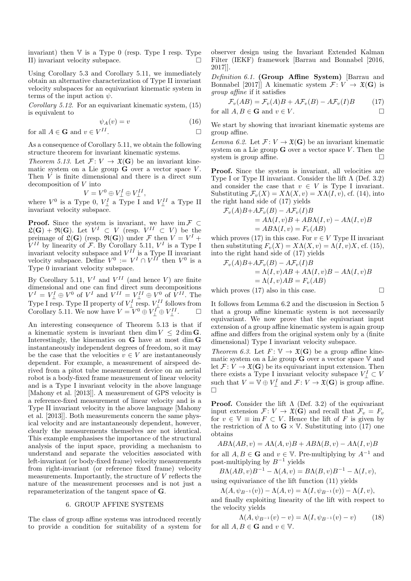invariant) then  $V$  is a Type 0 (resp. Type I resp. Type II) invariant velocity subspace.

Using Corollary 5.3 and Corollary 5.11, we immediately obtain an alternative characterization of Type II invariant velocity subspaces for an equivariant kinematic system in terms of the input action  $\psi$ .

Corollary 5.12. For an equivariant kinematic system, (15) is equivalent to

$$
\psi_A(v) = v \tag{16}
$$

for all 
$$
A \in \mathbf{G}
$$
 and  $v \in V^{II}$ .

As a consequence of Corollary 5.11, we obtain the following structure theorem for invariant kinematic systems.

Theorem 5.13. Let  $\mathcal{F}: V \to \mathfrak{X}(\mathbf{G})$  be an invariant kinematic system on a Lie group  $\hat{G}$  over a vector space V. Then V is finite dimensional and there is a direct sum decomposition of V into

$$
V = V^0 \oplus V^I_{\perp} \oplus V^{II}_{\perp},
$$

where  $V^0$  is a Type 0,  $V^I_{\perp}$  a Type I and  $V^{II}_{\perp}$  a Type II invariant velocity subspace.

**Proof.** Since the system is invariant, we have im  $\mathcal{F} \subset$  $\mathfrak{L}(\mathbf{G}) + \mathfrak{R}(\mathbf{G})$ . Let  $V^I \subset V$  (resp.  $V^{II} \subset V$ ) be the preimage of  $\mathfrak{L}(\mathbf{G})$  (resp.  $\mathfrak{R}(\mathbf{G})$ ) under F then  $V = V^I +$  $V^{II}$  by linearity of F. By Corollary 5.11,  $V^{I}$  is a Type I invariant velocity subspace and  $V^{II}$  is a Type II invariant velocity subspace. Define  $V^0 := V^I \cap V^{II}$  then  $V^0$  is a Type 0 invariant velocity subspace.

By Corollary 5.11,  $V^I$  and  $V^{II}$  (and hence V) are finite dimensional and one can find direct sum decompositions  $V^I = V^I_{\perp} \oplus V^0$  of  $V^I$  and  $V^{II} = V^{II}_{\perp} \oplus V^0$  of  $V^{II}$ . The Type I resp. Type II property of  $V_{\perp}^{I}$  resp.  $V_{\perp}^{II}$  follows from Corollary 5.11. We now have  $V = V^0 \oplus V^I_{\perp} \oplus V^{II}_{\perp}$ .  $\Box$ 

An interesting consequence of Theorem 5.13 is that if a kinematic system is invariant then dim  $V \leq 2 \dim G$ . Interestingly, the kinematics on G have at most dim G instantaneously independent degrees of freedom, so it may be the case that the velocities  $v \in V$  are instantaneously dependent. For example, a measurement of airspeed derived from a pitot tube measurement device on an aerial robot is a body-fixed frame measurement of linear velocity and is a Type I invariant velocity in the above language [Mahony et al. [2013]]. A measurement of GPS velocity is a reference-fixed measurement of linear velocity and is a Type II invariant velocity in the above language [Mahony et al. [2013]]. Both measurements concern the same physical velocity and are instantaneously dependent, however, clearly the measurements themselves are not identical. This example emphasises the importance of the structural analysis of the input space, providing a mechanism to understand and separate the velocities associated with left-invariant (or body-fixed frame) velocity measurements from right-invariant (or reference fixed frame) velocity measurements. Importantly, the structure of V reflects the nature of the measurement processes and is not just a reparameterization of the tangent space of G.

#### 6. GROUP AFFINE SYSTEMS

The class of group affine systems was introduced recently to provide a condition for suitability of a system for observer design using the Invariant Extended Kalman Filter (IEKF) framework [Barrau and Bonnabel [2016, 2017]].

Definition 6.1. (Group Affine System) [Barrau and Bonnabel [2017]] A kinematic system  $\mathcal{F}: V \to \mathfrak{X}(\mathbf{G})$  is group affine if it satisfies

$$
\mathcal{F}_v(AB) = \mathcal{F}_v(A)B + A\mathcal{F}_v(B) - A\mathcal{F}_v(I)B \tag{17}
$$

for all 
$$
A, B \in \mathbf{G}
$$
 and  $v \in V$ .

We start by showing that invariant kinematic systems are group affine.

Lemma 6.2. Let  $\mathcal{F} : V \to \mathfrak{X}(\mathbf{G})$  be an invariant kinematic system on a Lie group  **over a vector space**  $V$ **. Then the** system is group affine.

Proof. Since the system is invariant, all velocities are Type I or Type II invariant. Consider the lift Λ (Def. 3.2) and consider the case that  $v \in V$  is Type I invariant. Substituting  $\mathcal{F}_v(X) = X\Lambda(X, v) = X\Lambda(I, v)$ , cf. (14), into the right hand side of (17) yields

$$
\mathcal{F}_v(A)B + AF_v(B) - AF_v(I)B
$$
  
=  $A\Lambda(I, v)B + AB\Lambda(I, v) - A\Lambda(I, v)B$   
=  $AB\Lambda(I, v) = F_v(AB)$ 

which proves (17) in this case. For  $v \in V$  Type II invariant then substituting  $F_v(X) = X\Lambda(X, v) = \Lambda(I, v)X$ , cf. (15), into the right hand side of (17) yields

$$
\mathcal{F}_v(A)B + AF_v(B) - AF_v(I)B
$$
  
=  $\Lambda(I, v)AB + A\Lambda(I, v)B - A\Lambda(I, v)B$   
=  $\Lambda(I, v)AB = F_v(AB)$ 

which proves (17) also in this case.  $\square$ 

It follows from Lemma 6.2 and the discussion in Section 5 that a group affine kinematic system is not necessarily equivariant. We now prove that the equivariant input extension of a group affine kinematic system is again group affine and differs from the original system only by a (finite dimensional) Type I invariant velocity subspace.

Theorem 6.3. Let  $F: \mathbb{V} \to \mathfrak{X}(\mathbf{G})$  be a group affine kinematic system on a Lie group  $\hat{G}$  over a vector space  $V$  and let  $\mathcal{F} \colon V \to \mathfrak{X}(\mathbf{G})$  be its equivariant input extension. Then there exists a Type I invariant velocity subspace  $V^I_\perp \subset V$ such that  $V = \mathbb{V} \oplus V^I_{\perp}$  and  $\mathcal{F} \colon V \to \mathfrak{X}(\mathbf{G})$  is group affine.  $\Box$ 

**Proof.** Consider the lift  $\Lambda$  (Def. 3.2) of the equivariant input extension  $\mathcal{F} : V \to \mathfrak{X}(\mathbf{G})$  and recall that  $\mathcal{F}_v = F_v$ for  $v \in \mathbb{V} \equiv \text{im } F \subset V$ . Hence the lift of F is given by the restriction of  $\Lambda$  to  $\mathbf{G} \times \mathbf{V}$ . Substituting into (17) one obtains

 $AB\Lambda(AB, v) = A\Lambda(A, v)B + AB\Lambda(B, v) - A\Lambda(I, v)B$ 

for all  $A, B \in \mathbf{G}$  and  $v \in \mathbb{V}$ . Pre-multiplying by  $A^{-1}$  and post-multiplying by  $B^{-1}$  yields

 $B\Lambda(AB, v)B^{-1} - \Lambda(A, v) = B\Lambda(B, v)B^{-1} - \Lambda(I, v),$ using equivariance of the lift function (11) yields

 $\Lambda(A, \psi_{B^{-1}}(v)) - \Lambda(A, v) = \Lambda(I, \psi_{B^{-1}}(v)) - \Lambda(I, v),$ 

and finally exploiting linearity of the lift with respect to the velocity yields

$$
\Lambda(A, \psi_{B^{-1}}(v) - v) = \Lambda(I, \psi_{B^{-1}}(v) - v)
$$
 (18)  
for all  $A, B \in \mathbf{G}$  and  $v \in \mathbb{V}$ .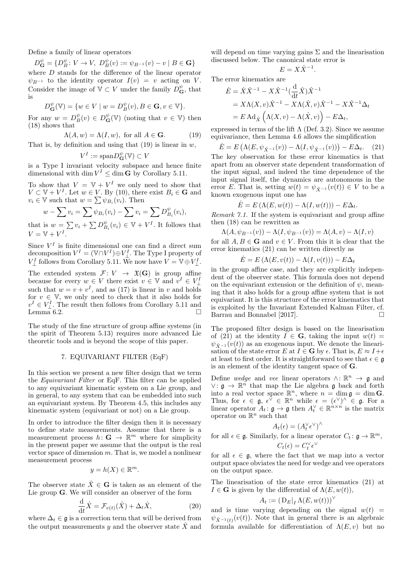Define a family of linear operators

$$
D_{\mathbf{G}}^{\psi} = \{ D_{B}^{\psi} : V \to V, \ D_{B}^{\psi}(v) := \psi_{B^{-1}}(v) - v \mid B \in \mathbf{G} \}
$$

where D stands for the difference of the linear operator  $\psi_{B^{-1}}$  to the identity operator  $I(v) = v$  acting on V. Consider the image of  $\mathbb{V} \subset V$  under the family  $D_{\mathbf{G}}^{\psi}$ , that is

$$
D_{\mathbf{G}}^{\psi}(\mathbb{V}) = \{ w \in V \mid w = D_{B}^{\psi}(v), B \in \mathbf{G}, v \in \mathbb{V} \}.
$$

For any  $w = D_B^{\psi}(v) \in D_{\mathbf{G}}^{\psi}(\mathbb{V})$  (noting that  $v \in \mathbb{V}$ ) then (18) shows that

$$
\Lambda(A, w) = \Lambda(I, w), \text{ for all } A \in \mathbf{G}.
$$
 (19)

That is, by definition and using that  $(19)$  is linear in w,

$$
V^I := \text{span} D^{\psi}_{\mathbf{G}}(\mathbb{V}) \subset V
$$

is a Type I invariant velocity subspace and hence finite dimensional with dim  $V^I \leq \dim G$  by Corollary 5.11.

To show that  $V = V + V^I$  we only need to show that  $V \subset V + V^I$ . Let  $w \in V$ . By (10), there exist  $B_i \in \mathbf{G}$  and  $v_i \in \mathbb{V}$  such that  $w = \sum \psi_{B_i}(v_i)$ . Then

$$
w - \sum v_i = \sum \psi_{B_i}(v_i) - \sum v_i = \sum D_{B_i}^{\psi}(v_i),
$$

that is  $w = \sum v_i + \sum D_{B_i}^{\psi}(v_i) \in \mathbb{V} + V^I$ . It follows that  $V = V + V^I$ .

Since  $V^I$  is finite dimensional one can find a direct sum decomposition  $V^I = (\mathbb{V} \cap V^I) \oplus V^I_{\perp}$ . The Type I property of  $V^I_\perp$  follows from Corollary 5.11. We now have  $V=\mathbb{V}\oplus V^I_\perp.$ 

The extended system  $\mathcal{F}: V \to \mathfrak{X}(\mathbf{G})$  is group affine because for every  $w \in V$  there exist  $v \in V$  and  $v^I \in V^I_{\perp}$ such that  $w = v + v<sup>I</sup>$ , and as (17) is linear in v and holds for  $v \in \mathbb{V}$ , we only need to check that it also holds for  $v^I \in V^I_{\perp}$ . The result then follows from Corollary 5.11 and Lemma 6.2.

The study of the fine structure of group affine systems (in the spirit of Theorem 5.13) requires more advanced Lie theoretic tools and is beyond the scope of this paper.

## 7. EQUIVARIANT FILTER (EqF)

In this section we present a new filter design that we term the Equivariant Filter or EqF. This filter can be applied to any equivariant kinematic system on a Lie group, and in general, to any system that can be embedded into such an equivariant system. By Theorem 4.5, this includes any kinematic system (equivariant or not) on a Lie group.

In order to introduce the filter design then it is necessary to define state measurements. Assume that there is a measurement process  $h: \mathbf{G} \to \mathbb{R}^m$  where for simplicity in the present paper we assume that the output is the real vector space of dimension m. That is, we model a nonlinear measurement process

$$
y = h(X) \in \mathbb{R}^m.
$$

The observer state  $\hat{X} \in \mathbf{G}$  is taken as an element of the Lie group G. We will consider an observer of the form

$$
\frac{\mathrm{d}}{\mathrm{d}t}\hat{X} = \mathcal{F}_{v(t)}(\hat{X}) + \Delta_t \hat{X},\tag{20}
$$

where  $\Delta_t \in \mathfrak{g}$  is a correction term that will be derived from the output measurements y and the observer state  $\hat{X}$  and will depend on time varying gains  $\Sigma$  and the linearisation discussed below. The canonical state error is

$$
E = X\hat{X}^{-1}.
$$

The error kinematics are

$$
\dot{E} = \dot{X}\hat{X}^{-1} - X\hat{X}^{-1}(\frac{\mathrm{d}}{\mathrm{d}t}\hat{X})\hat{X}^{-1}
$$
  
=  $X\Lambda(X,v)\hat{X}^{-1} - X\Lambda(\hat{X},v)\hat{X}^{-1} - X\hat{X}^{-1}\Delta_t$   
=  $E \mathrm{Ad}_{\hat{X}} (\Lambda(X,v) - \Lambda(\hat{X},v)) - E\Delta_t$ ,

expressed in terms of the lift  $\Lambda$  (Def. 3.2). Since we assume equivariance, then Lemma 4.6 allows the simplification

$$
\dot{E} = E\left(\Lambda(E, \psi_{\hat{X}^{-1}}(v)) - \Lambda(I, \psi_{\hat{X}^{-1}}(v))\right) - E\Delta_t.
$$
 (21)  
The key observation for these error kinematics is that  
anart from an observer state dependent transformation of

apart from an observer state dependent transformation of the input signal, and indeed the time dependence of the input signal itself, the dynamics are autonomous in the error E. That is, setting  $w(t) = \psi_{\hat{X}^{-1}}(v(t)) \in V$  to be a known exogenous input one has

$$
\dot{E} = E(\Lambda(E, w(t)) - \Lambda(I, w(t))) - E\Delta_t.
$$

Remark 7.1. If the system is equivariant and group affine then (18) can be rewritten as

$$
\Lambda(A, \psi_{B^{-1}}(v)) - \Lambda(I, \psi_{B^{-1}}(v)) = \Lambda(A, v) - \Lambda(I, v)
$$

for all  $A, B \in \mathbf{G}$  and  $v \in V$ . From this it is clear that the error kinematics (21) can be written directly as

 $\dot{E} = E(\Lambda(E, v(t)) - \Lambda(I, v(t))) - E\Delta_t$ 

in the group affine case, and they are explicitly independent of the observer state. This formula does not depend on the equivariant extension or the definition of  $\psi$ , meaning that it also holds for a group affine system that is not equivariant. It is this structure of the error kinematics that is exploited by the Invariant Extended Kalman Filter, cf. Barrau and Bonnabel [2017].

The proposed filter design is based on the linearisation of (21) at the identity  $I \in G$ , taking the input  $w(t) =$  $\psi_{\hat{Y}-1}(v(t))$  as an exogenous input. We denote the linearisation of the state error E at  $I \in \mathbf{G}$  by  $\epsilon$ . That is,  $E \approx I + \epsilon$ at least to first order. It is straightforward to see that  $\epsilon \in \mathfrak{a}$ is an element of the identity tangent space of G.

Define wedge and vee linear operators  $\wedge: \mathbb{R}^n \to \mathfrak{g}$  and  $\vee$ :  $\mathfrak{g}$  →  $\mathbb{R}^n$  that map the Lie algebra g back and forth into a real vector space  $\mathbb{R}^n$ , where  $n = \dim \mathfrak{g} = \dim \mathbf{G}$ . Thus, for  $\epsilon \in \mathfrak{g}, \epsilon^{\check{\vee}} \in \mathbb{R}^n$  while  $\epsilon = (\epsilon^{\vee})^{\check{\wedge}} \in \mathfrak{g}$ . For a linear operator  $A_t: \mathfrak{g} \to \mathfrak{g}$  then  $A_t^{\vee} \in \mathbb{R}^{n \times n}$  is the matrix operator on  $\mathbb{R}^n$  such that

$$
A_t(\epsilon) = (A_t^{\vee} \epsilon^{\vee})^{\wedge}
$$
  
for all  $\epsilon \in \mathfrak{g}$ . Similarly, for a linear operator  $C_t : \mathfrak{g} \to \mathbb{R}^m$ ,  

$$
C_t(\epsilon) = C_t^{\vee} \epsilon^{\vee}
$$

for all  $\epsilon \in \mathfrak{g}$ , where the fact that we map into a vector output space obviates the need for wedge and vee operators on the output space.

The linearisation of the state error kinematics (21) at  $I \in \mathbf{G}$  is given by the differential of  $\Lambda(E, w(t)),$ 

$$
A_t := \left( \left. \mathbf{D}_E \right|_I \Lambda(E, w(t)) \right)^\vee
$$

and is time varying depending on the signal  $w(t)$  =  $\psi_{\hat{X}^{-1}(t)}(v(t))$ . Note that in general there is an algebraic formula available for differentiation of  $\Lambda(E, v)$  but no